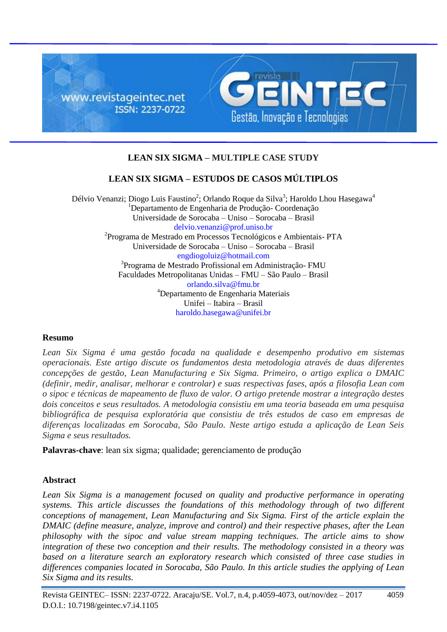

# **LEAN SIX SIGMA – MULTIPLE CASE STUDY**

# **LEAN SIX SIGMA – ESTUDOS DE CASOS MÚLTIPLOS**

Délvio Venanzi; Diogo Luis Faustino<sup>2</sup>; Orlando Roque da Silva<sup>3</sup>; Haroldo Lhou Hasegawa<sup>4</sup> <sup>1</sup>Departamento de Engenharia de Produção- Coordenação Universidade de Sorocaba – Uniso – Sorocaba – Brasil delvio.venanzi@prof.uniso.br 2 Programa de Mestrado em Processos Tecnológicos e Ambientais- PTA Universidade de Sorocaba – Uniso – Sorocaba – Brasil engdiogoluiz@hotmail.com 3 Programa de Mestrado Profissional em Administração- FMU Faculdades Metropolitanas Unidas – FMU – São Paulo – Brasil orlando.silva@fmu.br <sup>4</sup>Departamento de Engenharia Materiais Unifei – Itabira – Brasil haroldo.hasegawa@unifei.br

## **Resumo**

*Lean Six Sigma é uma gestão focada na qualidade e desempenho produtivo em sistemas operacionais. Este artigo discute os fundamentos desta metodologia através de duas diferentes concepções de gestão, Lean Manufacturing e Six Sigma. Primeiro, o artigo explica o DMAIC (definir, medir, analisar, melhorar e controlar) e suas respectivas fases, após a filosofia Lean com o sipoc e técnicas de mapeamento de fluxo de valor. O artigo pretende mostrar a integração destes dois conceitos e seus resultados. A metodologia consistiu em uma teoria baseada em uma pesquisa bibliográfica de pesquisa exploratória que consistiu de três estudos de caso em empresas de diferenças localizadas em Sorocaba, São Paulo. Neste artigo estuda a aplicação de Lean Seis Sigma e seus resultados.*

**Palavras-chave**: lean six sigma; qualidade; gerenciamento de produção

## **Abstract**

*Lean Six Sigma is a management focused on quality and productive performance in operating systems. This article discusses the foundations of this methodology through of two different conceptions of management, Lean Manufacturing and Six Sigma. First of the article explain the DMAIC (define measure, analyze, improve and control) and their respective phases, after the Lean philosophy with the sipoc and value stream mapping techniques. The article aims to show integration of these two conception and their results. The methodology consisted in a theory was based on a literature search an exploratory research which consisted of three case studies in differences companies located in Sorocaba, São Paulo. In this article studies the applying of Lean Six Sigma and its results.*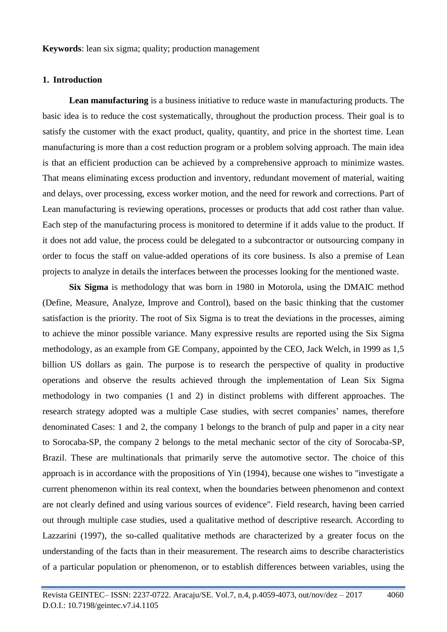**Keywords**: lean six sigma; quality; production management

### **1. Introduction**

**Lean manufacturing** is a business initiative to reduce waste in manufacturing products. The basic idea is to reduce the cost systematically, throughout the production process. Their goal is to satisfy the customer with the exact product, quality, quantity, and price in the shortest time. Lean manufacturing is more than a cost reduction program or a problem solving approach. The main idea is that an efficient production can be achieved by a comprehensive approach to minimize wastes. That means eliminating excess production and inventory, redundant movement of material, waiting and delays, over processing, excess worker motion, and the need for rework and corrections. Part of Lean manufacturing is reviewing operations, processes or products that add cost rather than value. Each step of the manufacturing process is monitored to determine if it adds value to the product. If it does not add value, the process could be delegated to a subcontractor or outsourcing company in order to focus the staff on value-added operations of its core business. Is also a premise of Lean projects to analyze in details the interfaces between the processes looking for the mentioned waste.

**Six Sigma** is methodology that was born in 1980 in Motorola, using the DMAIC method (Define, Measure, Analyze, Improve and Control), based on the basic thinking that the customer satisfaction is the priority. The root of Six Sigma is to treat the deviations in the processes, aiming to achieve the minor possible variance. Many expressive results are reported using the Six Sigma methodology, as an example from GE Company, appointed by the CEO, Jack Welch, in 1999 as 1,5 billion US dollars as gain. The purpose is to research the perspective of quality in productive operations and observe the results achieved through the implementation of Lean Six Sigma methodology in two companies (1 and 2) in distinct problems with different approaches. The research strategy adopted was a multiple Case studies, with secret companies' names, therefore denominated Cases: 1 and 2, the company 1 belongs to the branch of pulp and paper in a city near to Sorocaba-SP, the company 2 belongs to the metal mechanic sector of the city of Sorocaba-SP, Brazil. These are multinationals that primarily serve the automotive sector. The choice of this approach is in accordance with the propositions of Yin (1994), because one wishes to "investigate a current phenomenon within its real context, when the boundaries between phenomenon and context are not clearly defined and using various sources of evidence". Field research, having been carried out through multiple case studies, used a qualitative method of descriptive research. According to Lazzarini (1997), the so-called qualitative methods are characterized by a greater focus on the understanding of the facts than in their measurement. The research aims to describe characteristics of a particular population or phenomenon, or to establish differences between variables, using the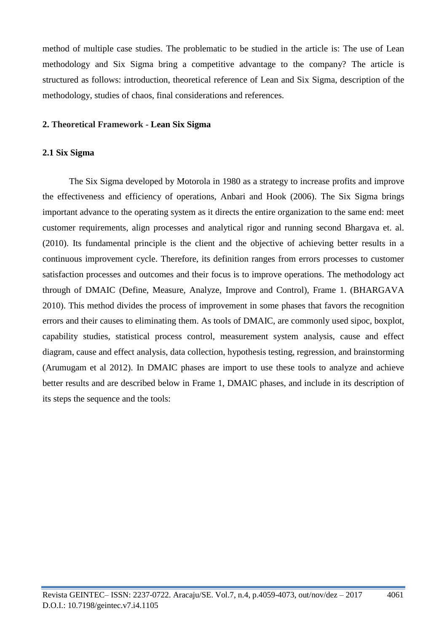method of multiple case studies. The problematic to be studied in the article is: The use of Lean methodology and Six Sigma bring a competitive advantage to the company? The article is structured as follows: introduction, theoretical reference of Lean and Six Sigma, description of the methodology, studies of chaos, final considerations and references.

### **2. Theoretical Framework - Lean Six Sigma**

### **2.1 Six Sigma**

The Six Sigma developed by Motorola in 1980 as a strategy to increase profits and improve the effectiveness and efficiency of operations, Anbari and Hook (2006). The Six Sigma brings important advance to the operating system as it directs the entire organization to the same end: meet customer requirements, align processes and analytical rigor and running second Bhargava et. al. (2010). Its fundamental principle is the client and the objective of achieving better results in a continuous improvement cycle. Therefore, its definition ranges from errors processes to customer satisfaction processes and outcomes and their focus is to improve operations. The methodology act through of DMAIC (Define, Measure, Analyze, Improve and Control), Frame 1. (BHARGAVA 2010). This method divides the process of improvement in some phases that favors the recognition errors and their causes to eliminating them. As tools of DMAIC, are commonly used sipoc, boxplot, capability studies, statistical process control, measurement system analysis, cause and effect diagram, cause and effect analysis, data collection, hypothesis testing, regression, and brainstorming (Arumugam et al 2012). In DMAIC phases are import to use these tools to analyze and achieve better results and are described below in Frame 1, DMAIC phases, and include in its description of its steps the sequence and the tools: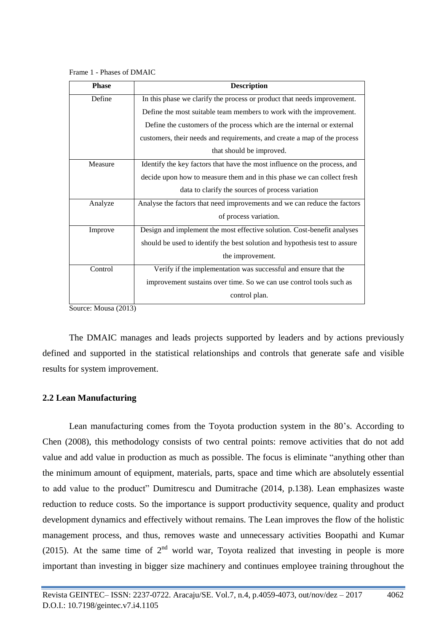Frame 1 - Phases of DMAIC

| <b>Phase</b> | <b>Description</b>                                                         |  |  |  |
|--------------|----------------------------------------------------------------------------|--|--|--|
| Define       | In this phase we clarify the process or product that needs improvement.    |  |  |  |
|              | Define the most suitable team members to work with the improvement.        |  |  |  |
|              | Define the customers of the process which are the internal or external     |  |  |  |
|              | customers, their needs and requirements, and create a map of the process   |  |  |  |
|              | that should be improved.                                                   |  |  |  |
| Measure      | Identify the key factors that have the most influence on the process, and  |  |  |  |
|              | decide upon how to measure them and in this phase we can collect fresh     |  |  |  |
|              | data to clarify the sources of process variation                           |  |  |  |
| Analyze      | Analyse the factors that need improvements and we can reduce the factors   |  |  |  |
|              | of process variation.                                                      |  |  |  |
| Improve      | Design and implement the most effective solution. Cost-benefit analyses    |  |  |  |
|              | should be used to identify the best solution and hypothesis test to assure |  |  |  |
|              | the improvement.                                                           |  |  |  |
| Control      | Verify if the implementation was successful and ensure that the            |  |  |  |
|              | improvement sustains over time. So we can use control tools such as        |  |  |  |
|              | control plan.                                                              |  |  |  |

Source: Mousa (2013)

The DMAIC manages and leads projects supported by leaders and by actions previously defined and supported in the statistical relationships and controls that generate safe and visible results for system improvement.

## **2.2 Lean Manufacturing**

Lean manufacturing comes from the Toyota production system in the 80's. According to Chen (2008), this methodology consists of two central points: remove activities that do not add value and add value in production as much as possible. The focus is eliminate "anything other than the minimum amount of equipment, materials, parts, space and time which are absolutely essential to add value to the product" Dumitrescu and Dumitrache (2014, p.138). Lean emphasizes waste reduction to reduce costs. So the importance is support productivity sequence, quality and product development dynamics and effectively without remains. The Lean improves the flow of the holistic management process, and thus, removes waste and unnecessary activities Boopathi and Kumar (2015). At the same time of  $2<sup>nd</sup>$  world war, Toyota realized that investing in people is more important than investing in bigger size machinery and continues employee training throughout the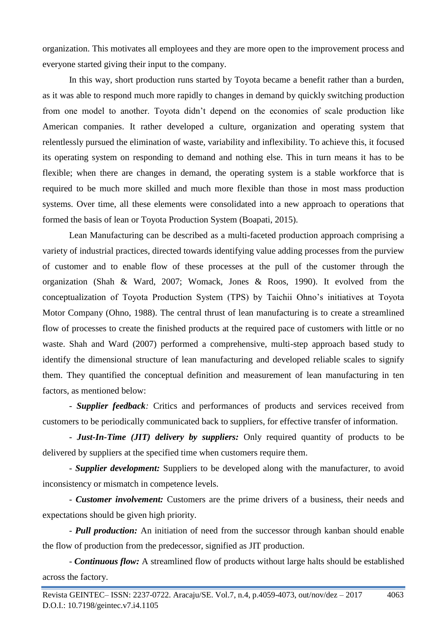organization. This motivates all employees and they are more open to the improvement process and everyone started giving their input to the company.

In this way, short production runs started by Toyota became a benefit rather than a burden, as it was able to respond much more rapidly to changes in demand by quickly switching production from one model to another. Toyota didn't depend on the economies of scale production like American companies. It rather developed a culture, organization and operating system that relentlessly pursued the elimination of waste, variability and inflexibility. To achieve this, it focused its operating system on responding to demand and nothing else. This in turn means it has to be flexible; when there are changes in demand, the operating system is a stable workforce that is required to be much more skilled and much more flexible than those in most mass production systems. Over time, all these elements were consolidated into a new approach to operations that formed the basis of lean or Toyota Production System (Boapati, 2015).

Lean Manufacturing can be described as a multi-faceted production approach comprising a variety of industrial practices, directed towards identifying value adding processes from the purview of customer and to enable flow of these processes at the pull of the customer through the organization (Shah & Ward, 2007; Womack, Jones & Roos, 1990). It evolved from the conceptualization of Toyota Production System (TPS) by Taichii Ohno's initiatives at Toyota Motor Company (Ohno, 1988). The central thrust of lean manufacturing is to create a streamlined flow of processes to create the finished products at the required pace of customers with little or no waste. Shah and Ward (2007) performed a comprehensive, multi-step approach based study to identify the dimensional structure of lean manufacturing and developed reliable scales to signify them. They quantified the conceptual definition and measurement of lean manufacturing in ten factors, as mentioned below:

*- Supplier feedback:* Critics and performances of products and services received from customers to be periodically communicated back to suppliers, for effective transfer of information.

*- Just-In-Time (JIT) delivery by suppliers:* Only required quantity of products to be delivered by suppliers at the specified time when customers require them.

*- Supplier development:* Suppliers to be developed along with the manufacturer, to avoid inconsistency or mismatch in competence levels.

*- Customer involvement:* Customers are the prime drivers of a business, their needs and expectations should be given high priority.

*- Pull production:* An initiation of need from the successor through kanban should enable the flow of production from the predecessor, signified as JIT production.

*- Continuous flow:* A streamlined flow of products without large halts should be established across the factory.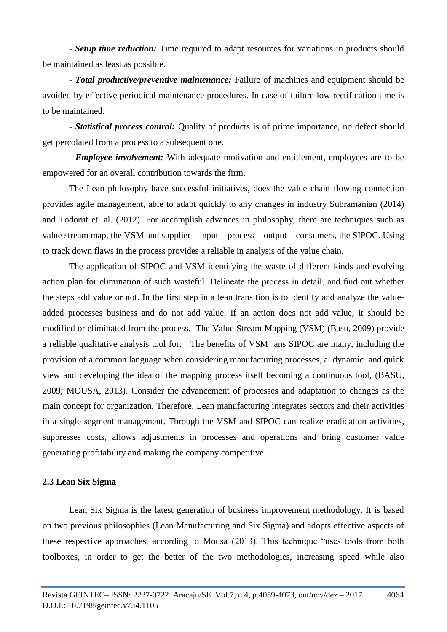*- Setup time reduction:* Time required to adapt resources for variations in products should be maintained as least as possible.

*- Total productive/preventive maintenance:* Failure of machines and equipment should be avoided by effective periodical maintenance procedures. In case of failure low rectification time is to be maintained.

*- Statistical process control:* Quality of products is of prime importance, no defect should get percolated from a process to a subsequent one.

*- Employee involvement:* With adequate motivation and entitlement, employees are to be empowered for an overall contribution towards the firm.

The Lean philosophy have successful initiatives, does the value chain flowing connection provides agile management, able to adapt quickly to any changes in industry Subramanian (2014) and Todorut et. al. (2012). For accomplish advances in philosophy, there are techniques such as value stream map, the VSM and supplier – input – process – output – consumers, the SIPOC. Using to track down flaws in the process provides a reliable in analysis of the value chain.

The application of SIPOC and VSM identifying the waste of different kinds and evolving action plan for elimination of such wasteful. Delineate the process in detail, and find out whether the steps add value or not. In the first step in a lean transition is to identify and analyze the valueadded processes business and do not add value. If an action does not add value, it should be modified or eliminated from the process. The Value Stream Mapping (VSM) (Basu, 2009) provide a reliable qualitative analysis tool for. The benefits of VSM ans SIPOC are many, including the provision of a common language when considering manufacturing processes, a dynamic and quick view and developing the idea of the mapping process itself becoming a continuous tool, (BASU, 2009; MOUSA, 2013). Consider the advancement of processes and adaptation to changes as the main concept for organization. Therefore, Lean manufacturing integrates sectors and their activities in a single segment management. Through the VSM and SIPOC can realize eradication activities, suppresses costs, allows adjustments in processes and operations and bring customer value generating profitability and making the company competitive.

### **2.3 Lean Six Sigma**

Lean Six Sigma is the latest generation of business improvement methodology. It is based on two previous philosophies (Lean Manufacturing and Six Sigma) and adopts effective aspects of these respective approaches, according to Mousa (2013). This technique "uses tools from both toolboxes, in order to get the better of the two methodologies, increasing speed while also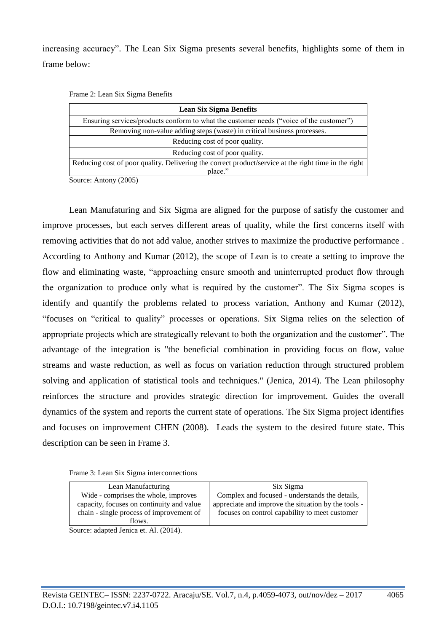increasing accuracy". The Lean Six Sigma presents several benefits, highlights some of them in frame below:

|  |  |  |  | Frame 2: Lean Six Sigma Benefits |
|--|--|--|--|----------------------------------|
|--|--|--|--|----------------------------------|

| <b>Lean Six Sigma Benefits</b>                                                                       |  |  |  |
|------------------------------------------------------------------------------------------------------|--|--|--|
| Ensuring services/products conform to what the customer needs ("voice of the customer")              |  |  |  |
| Removing non-value adding steps (waste) in critical business processes.                              |  |  |  |
| Reducing cost of poor quality.                                                                       |  |  |  |
| Reducing cost of poor quality.                                                                       |  |  |  |
| Reducing cost of poor quality. Delivering the correct product/service at the right time in the right |  |  |  |
| place."                                                                                              |  |  |  |

Source: Antony (2005)

Lean Manufaturing and Six Sigma are aligned for the purpose of satisfy the customer and improve processes, but each serves different areas of quality, while the first concerns itself with removing activities that do not add value, another strives to maximize the productive performance . According to Anthony and Kumar (2012), the scope of Lean is to create a setting to improve the flow and eliminating waste, "approaching ensure smooth and uninterrupted product flow through the organization to produce only what is required by the customer". The Six Sigma scopes is identify and quantify the problems related to process variation, Anthony and Kumar (2012), "focuses on "critical to quality" processes or operations. Six Sigma relies on the selection of appropriate projects which are strategically relevant to both the organization and the customer". The advantage of the integration is "the beneficial combination in providing focus on flow, value streams and waste reduction, as well as focus on variation reduction through structured problem solving and application of statistical tools and techniques." (Jenica, 2014). The Lean philosophy reinforces the structure and provides strategic direction for improvement. Guides the overall dynamics of the system and reports the current state of operations. The Six Sigma project identifies and focuses on improvement CHEN (2008). Leads the system to the desired future state. This description can be seen in Frame 3.

| Frame 3: Lean Six Sigma interconnections |  |
|------------------------------------------|--|
|------------------------------------------|--|

| Lean Manufacturing |                                                     | Six Sigma                                           |  |  |  |
|--------------------|-----------------------------------------------------|-----------------------------------------------------|--|--|--|
|                    | Wide - comprises the whole, improves                | Complex and focused - understands the details,      |  |  |  |
|                    | capacity, focuses on continuity and value           | appreciate and improve the situation by the tools - |  |  |  |
|                    | chain - single process of improvement of            | focuses on control capability to meet customer      |  |  |  |
|                    | flows.                                              |                                                     |  |  |  |
|                    | $\Omega$ , , 1,  1 <b>T</b> , , 1 <b>A1</b> (001 A) |                                                     |  |  |  |

Source: adapted Jenica et. Al. (2014).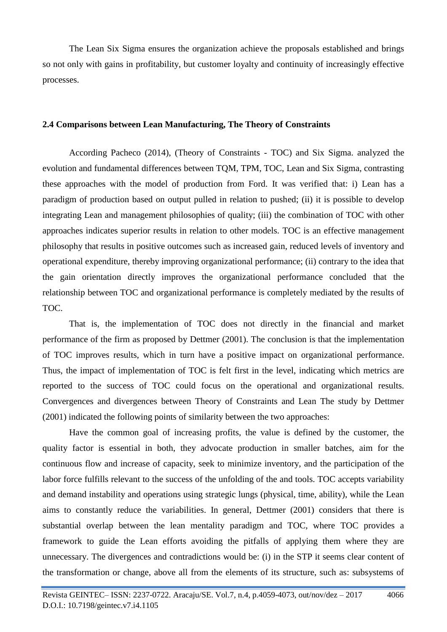The Lean Six Sigma ensures the organization achieve the proposals established and brings so not only with gains in profitability, but customer loyalty and continuity of increasingly effective processes.

### **2.4 Comparisons between Lean Manufacturing, The Theory of Constraints**

According Pacheco (2014), (Theory of Constraints - TOC) and Six Sigma. analyzed the evolution and fundamental differences between TQM, TPM, TOC, Lean and Six Sigma, contrasting these approaches with the model of production from Ford. It was verified that: i) Lean has a paradigm of production based on output pulled in relation to pushed; (ii) it is possible to develop integrating Lean and management philosophies of quality; (iii) the combination of TOC with other approaches indicates superior results in relation to other models. TOC is an effective management philosophy that results in positive outcomes such as increased gain, reduced levels of inventory and operational expenditure, thereby improving organizational performance; (ii) contrary to the idea that the gain orientation directly improves the organizational performance concluded that the relationship between TOC and organizational performance is completely mediated by the results of TOC.

That is, the implementation of TOC does not directly in the financial and market performance of the firm as proposed by Dettmer (2001). The conclusion is that the implementation of TOC improves results, which in turn have a positive impact on organizational performance. Thus, the impact of implementation of TOC is felt first in the level, indicating which metrics are reported to the success of TOC could focus on the operational and organizational results. Convergences and divergences between Theory of Constraints and Lean The study by Dettmer (2001) indicated the following points of similarity between the two approaches:

Have the common goal of increasing profits, the value is defined by the customer, the quality factor is essential in both, they advocate production in smaller batches, aim for the continuous flow and increase of capacity, seek to minimize inventory, and the participation of the labor force fulfills relevant to the success of the unfolding of the and tools. TOC accepts variability and demand instability and operations using strategic lungs (physical, time, ability), while the Lean aims to constantly reduce the variabilities. In general, Dettmer (2001) considers that there is substantial overlap between the lean mentality paradigm and TOC, where TOC provides a framework to guide the Lean efforts avoiding the pitfalls of applying them where they are unnecessary. The divergences and contradictions would be: (i) in the STP it seems clear content of the transformation or change, above all from the elements of its structure, such as: subsystems of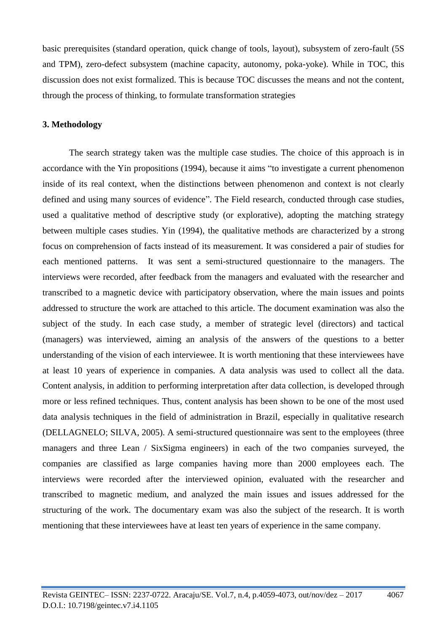basic prerequisites (standard operation, quick change of tools, layout), subsystem of zero-fault (5S and TPM), zero-defect subsystem (machine capacity, autonomy, poka-yoke). While in TOC, this discussion does not exist formalized. This is because TOC discusses the means and not the content, through the process of thinking, to formulate transformation strategies

### **3. Methodology**

The search strategy taken was the multiple case studies. The choice of this approach is in accordance with the Yin propositions (1994), because it aims "to investigate a current phenomenon inside of its real context, when the distinctions between phenomenon and context is not clearly defined and using many sources of evidence". The Field research, conducted through case studies, used a qualitative method of descriptive study (or explorative), adopting the matching strategy between multiple cases studies. Yin (1994), the qualitative methods are characterized by a strong focus on comprehension of facts instead of its measurement. It was considered a pair of studies for each mentioned patterns. It was sent a semi-structured questionnaire to the managers. The interviews were recorded, after feedback from the managers and evaluated with the researcher and transcribed to a magnetic device with participatory observation, where the main issues and points addressed to structure the work are attached to this article. The document examination was also the subject of the study. In each case study, a member of strategic level (directors) and tactical (managers) was interviewed, aiming an analysis of the answers of the questions to a better understanding of the vision of each interviewee. It is worth mentioning that these interviewees have at least 10 years of experience in companies. A data analysis was used to collect all the data. Content analysis, in addition to performing interpretation after data collection, is developed through more or less refined techniques. Thus, content analysis has been shown to be one of the most used data analysis techniques in the field of administration in Brazil, especially in qualitative research (DELLAGNELO; SILVA, 2005). A semi-structured questionnaire was sent to the employees (three managers and three Lean / SixSigma engineers) in each of the two companies surveyed, the companies are classified as large companies having more than 2000 employees each. The interviews were recorded after the interviewed opinion, evaluated with the researcher and transcribed to magnetic medium, and analyzed the main issues and issues addressed for the structuring of the work. The documentary exam was also the subject of the research. It is worth mentioning that these interviewees have at least ten years of experience in the same company.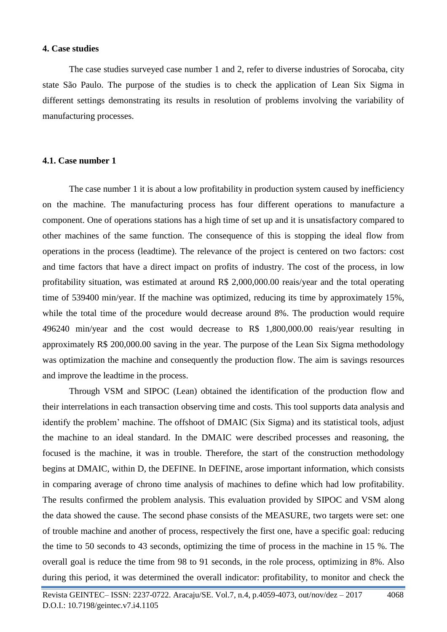#### **4. Case studies**

The case studies surveyed case number 1 and 2, refer to diverse industries of Sorocaba, city state São Paulo. The purpose of the studies is to check the application of Lean Six Sigma in different settings demonstrating its results in resolution of problems involving the variability of manufacturing processes.

#### **4.1. Case number 1**

The case number 1 it is about a low profitability in production system caused by inefficiency on the machine. The manufacturing process has four different operations to manufacture a component. One of operations stations has a high time of set up and it is unsatisfactory compared to other machines of the same function. The consequence of this is stopping the ideal flow from operations in the process (leadtime). The relevance of the project is centered on two factors: cost and time factors that have a direct impact on profits of industry. The cost of the process, in low profitability situation, was estimated at around R\$ 2,000,000.00 reais/year and the total operating time of 539400 min/year. If the machine was optimized, reducing its time by approximately 15%, while the total time of the procedure would decrease around 8%. The production would require 496240 min/year and the cost would decrease to R\$ 1,800,000.00 reais/year resulting in approximately R\$ 200,000.00 saving in the year. The purpose of the Lean Six Sigma methodology was optimization the machine and consequently the production flow. The aim is savings resources and improve the leadtime in the process.

Through VSM and SIPOC (Lean) obtained the identification of the production flow and their interrelations in each transaction observing time and costs. This tool supports data analysis and identify the problem' machine. The offshoot of DMAIC (Six Sigma) and its statistical tools, adjust the machine to an ideal standard. In the DMAIC were described processes and reasoning, the focused is the machine, it was in trouble. Therefore, the start of the construction methodology begins at DMAIC, within D, the DEFINE. In DEFINE, arose important information, which consists in comparing average of chrono time analysis of machines to define which had low profitability. The results confirmed the problem analysis. This evaluation provided by SIPOC and VSM along the data showed the cause. The second phase consists of the MEASURE, two targets were set: one of trouble machine and another of process, respectively the first one, have a specific goal: reducing the time to 50 seconds to 43 seconds, optimizing the time of process in the machine in 15 %. The overall goal is reduce the time from 98 to 91 seconds, in the role process, optimizing in 8%. Also during this period, it was determined the overall indicator: profitability, to monitor and check the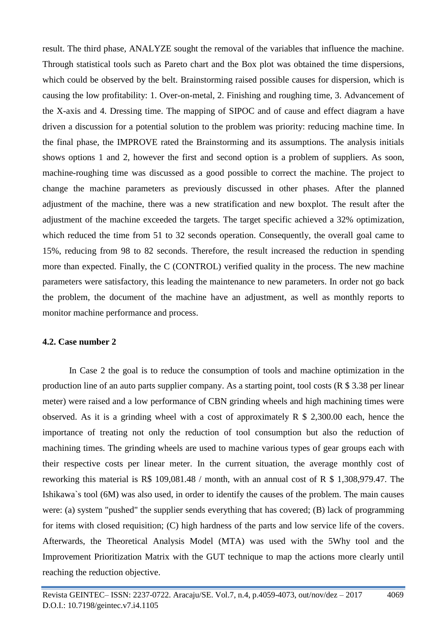result. The third phase, ANALYZE sought the removal of the variables that influence the machine. Through statistical tools such as Pareto chart and the Box plot was obtained the time dispersions, which could be observed by the belt. Brainstorming raised possible causes for dispersion, which is causing the low profitability: 1. Over-on-metal, 2. Finishing and roughing time, 3. Advancement of the X-axis and 4. Dressing time. The mapping of SIPOC and of cause and effect diagram a have driven a discussion for a potential solution to the problem was priority: reducing machine time. In the final phase, the IMPROVE rated the Brainstorming and its assumptions. The analysis initials shows options 1 and 2, however the first and second option is a problem of suppliers. As soon, machine-roughing time was discussed as a good possible to correct the machine. The project to change the machine parameters as previously discussed in other phases. After the planned adjustment of the machine, there was a new stratification and new boxplot. The result after the adjustment of the machine exceeded the targets. The target specific achieved a 32% optimization, which reduced the time from 51 to 32 seconds operation. Consequently, the overall goal came to 15%, reducing from 98 to 82 seconds. Therefore, the result increased the reduction in spending more than expected. Finally, the C (CONTROL) verified quality in the process. The new machine parameters were satisfactory, this leading the maintenance to new parameters. In order not go back the problem, the document of the machine have an adjustment, as well as monthly reports to monitor machine performance and process.

### **4.2. Case number 2**

In Case 2 the goal is to reduce the consumption of tools and machine optimization in the production line of an auto parts supplier company. As a starting point, tool costs (R \$ 3.38 per linear meter) were raised and a low performance of CBN grinding wheels and high machining times were observed. As it is a grinding wheel with a cost of approximately  $R \$ 2,300.00$  each, hence the importance of treating not only the reduction of tool consumption but also the reduction of machining times. The grinding wheels are used to machine various types of gear groups each with their respective costs per linear meter. In the current situation, the average monthly cost of reworking this material is R\$ 109,081.48 / month, with an annual cost of R \$ 1,308,979.47. The Ishikawa`s tool (6M) was also used, in order to identify the causes of the problem. The main causes were: (a) system "pushed" the supplier sends everything that has covered; (B) lack of programming for items with closed requisition; (C) high hardness of the parts and low service life of the covers. Afterwards, the Theoretical Analysis Model (MTA) was used with the 5Why tool and the Improvement Prioritization Matrix with the GUT technique to map the actions more clearly until reaching the reduction objective.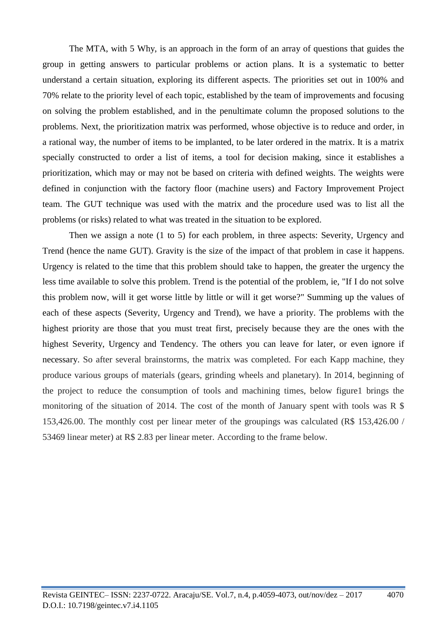The MTA, with 5 Why, is an approach in the form of an array of questions that guides the group in getting answers to particular problems or action plans. It is a systematic to better understand a certain situation, exploring its different aspects. The priorities set out in 100% and 70% relate to the priority level of each topic, established by the team of improvements and focusing on solving the problem established, and in the penultimate column the proposed solutions to the problems. Next, the prioritization matrix was performed, whose objective is to reduce and order, in a rational way, the number of items to be implanted, to be later ordered in the matrix. It is a matrix specially constructed to order a list of items, a tool for decision making, since it establishes a prioritization, which may or may not be based on criteria with defined weights. The weights were defined in conjunction with the factory floor (machine users) and Factory Improvement Project team. The GUT technique was used with the matrix and the procedure used was to list all the problems (or risks) related to what was treated in the situation to be explored.

Then we assign a note (1 to 5) for each problem, in three aspects: Severity, Urgency and Trend (hence the name GUT). Gravity is the size of the impact of that problem in case it happens. Urgency is related to the time that this problem should take to happen, the greater the urgency the less time available to solve this problem. Trend is the potential of the problem, ie, "If I do not solve this problem now, will it get worse little by little or will it get worse?" Summing up the values of each of these aspects (Severity, Urgency and Trend), we have a priority. The problems with the highest priority are those that you must treat first, precisely because they are the ones with the highest Severity, Urgency and Tendency. The others you can leave for later, or even ignore if necessary. So after several brainstorms, the matrix was completed. For each Kapp machine, they produce various groups of materials (gears, grinding wheels and planetary). In 2014, beginning of the project to reduce the consumption of tools and machining times, below figure1 brings the monitoring of the situation of 2014. The cost of the month of January spent with tools was  $R$  \$ 153,426.00. The monthly cost per linear meter of the groupings was calculated (R\$ 153,426.00 / 53469 linear meter) at R\$ 2.83 per linear meter. According to the frame below.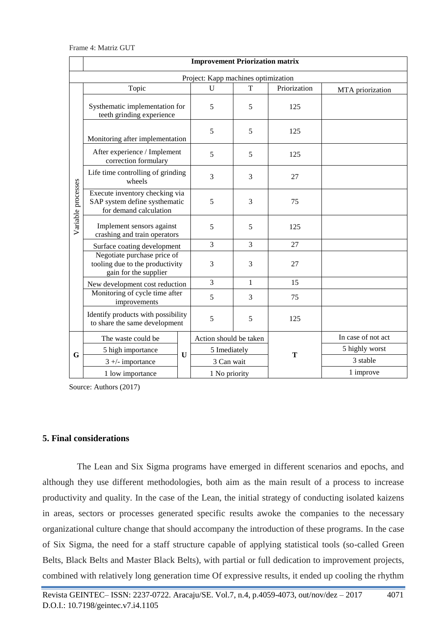|                    | <b>Improvement Priorization matrix</b>                                                    |  |                        |              |              |                    |  |  |
|--------------------|-------------------------------------------------------------------------------------------|--|------------------------|--------------|--------------|--------------------|--|--|
|                    | Project: Kapp machines optimization                                                       |  |                        |              |              |                    |  |  |
|                    | Topic                                                                                     |  | U                      | T            | Priorization | MTA priorization   |  |  |
|                    | Systhematic implementation for<br>teeth grinding experience                               |  | 5                      | 5            | 125          |                    |  |  |
|                    | Monitoring after implementation                                                           |  | 5                      | 5            | 125          |                    |  |  |
|                    | After experience / Implement<br>correction formulary                                      |  | 5                      | 5            | 125          |                    |  |  |
|                    | Life time controlling of grinding<br>wheels                                               |  | 3                      | 3            | 27           |                    |  |  |
| Variable processes | Execute inventory checking via<br>SAP system define systhematic<br>for demand calculation |  | 5                      | 3            | 75           |                    |  |  |
|                    | Implement sensors against<br>crashing and train operators                                 |  | 5                      | 5            | 125          |                    |  |  |
|                    | Surface coating development                                                               |  | $\overline{3}$         | 3            | 27           |                    |  |  |
|                    | Negotiate purchase price of<br>tooling due to the productivity<br>gain for the supplier   |  | 3                      | 3            | 27           |                    |  |  |
|                    | New development cost reduction                                                            |  | $\overline{3}$         | $\mathbf{1}$ | 15           |                    |  |  |
|                    | Monitoring of cycle time after<br>improvements                                            |  | 5                      | 3            | 75           |                    |  |  |
|                    | Identify products with possibility<br>to share the same development                       |  | 5                      | 5            | 125          |                    |  |  |
|                    | The waste could be<br>5 high importance<br>U<br>$3 +$ - importance                        |  | Action should be taken |              | T            | In case of not act |  |  |
| G                  |                                                                                           |  | 5 Imediately           |              |              | 5 highly worst     |  |  |
|                    |                                                                                           |  | 3 Can wait             |              |              | 3 stable           |  |  |
|                    | 1 low importance                                                                          |  | 1 No priority          |              |              | 1 improve          |  |  |

Source: Authors (2017)

#### **5. Final considerations**

The Lean and Six Sigma programs have emerged in different scenarios and epochs, and although they use different methodologies, both aim as the main result of a process to increase productivity and quality. In the case of the Lean, the initial strategy of conducting isolated kaizens in areas, sectors or processes generated specific results awoke the companies to the necessary organizational culture change that should accompany the introduction of these programs. In the case of Six Sigma, the need for a staff structure capable of applying statistical tools (so-called Green Belts, Black Belts and Master Black Belts), with partial or full dedication to improvement projects, combined with relatively long generation time Of expressive results, it ended up cooling the rhythm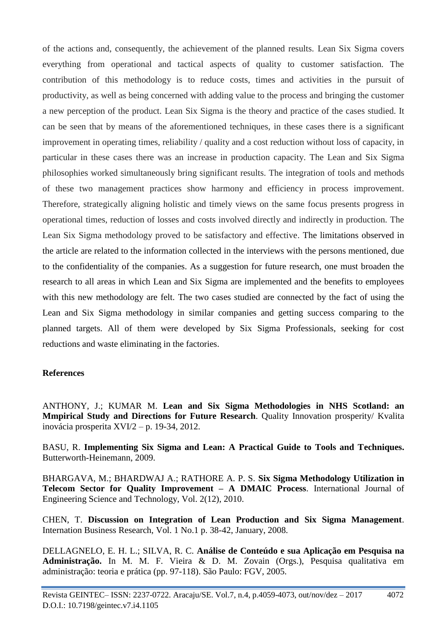of the actions and, consequently, the achievement of the planned results. Lean Six Sigma covers everything from operational and tactical aspects of quality to customer satisfaction. The contribution of this methodology is to reduce costs, times and activities in the pursuit of productivity, as well as being concerned with adding value to the process and bringing the customer a new perception of the product. Lean Six Sigma is the theory and practice of the cases studied. It can be seen that by means of the aforementioned techniques, in these cases there is a significant improvement in operating times, reliability / quality and a cost reduction without loss of capacity, in particular in these cases there was an increase in production capacity. The Lean and Six Sigma philosophies worked simultaneously bring significant results. The integration of tools and methods of these two management practices show harmony and efficiency in process improvement. Therefore, strategically aligning holistic and timely views on the same focus presents progress in operational times, reduction of losses and costs involved directly and indirectly in production. The Lean Six Sigma methodology proved to be satisfactory and effective. The limitations observed in the article are related to the information collected in the interviews with the persons mentioned, due to the confidentiality of the companies. As a suggestion for future research, one must broaden the research to all areas in which Lean and Six Sigma are implemented and the benefits to employees with this new methodology are felt. The two cases studied are connected by the fact of using the Lean and Six Sigma methodology in similar companies and getting success comparing to the planned targets. All of them were developed by Six Sigma Professionals, seeking for cost reductions and waste eliminating in the factories.

## **References**

ANTHONY, J.; KUMAR M. **Lean and Six Sigma Methodologies in NHS Scotland: an Mmpirical Study and Directions for Future Research**. Quality Innovation prosperity/ Kvalita inovácia prosperita XVI/2 – p. 19-34, 2012.

BASU, R. **Implementing Six Sigma and Lean: A Practical Guide to Tools and Techniques.** Butterworth-Heinemann, 2009.

BHARGAVA, M.; BHARDWAJ A.; RATHORE A. P. S. **Six Sigma Methodology Utilization in Telecom Sector for Quality Improvement – A DMAIC Process**. International Journal of Engineering Science and Technology, Vol. 2(12), 2010.

CHEN, T. **Discussion on Integration of Lean Production and Six Sigma Management**. Internation Business Research, Vol. 1 No.1 p. 38-42, January, 2008.

DELLAGNELO, E. H. L.; SILVA, R. C. **Análise de Conteúdo e sua Aplicação em Pesquisa na Administração.** In M. M. F. Vieira & D. M. Zovain (Orgs.), Pesquisa qualitativa em administração: teoria e prática (pp. 97-118). São Paulo: FGV, 2005.